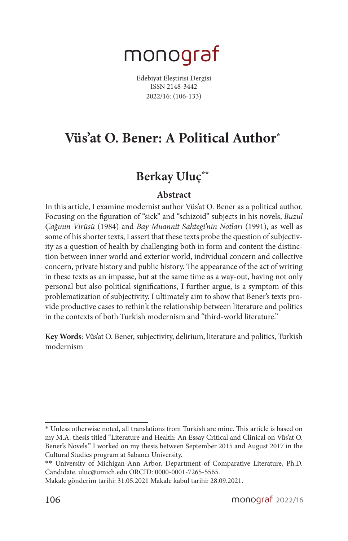# monograf

Edebiyat Eleştirisi Dergisi ISSN 2148-3442 2022/16: (106-133)

# **Vüs'at O. Bener: A Political Author\***<sup>1</sup>

# **Berkay Uluç\*\***<sup>2</sup>

#### **Abstract**

In this article, I examine modernist author Vüs'at O. Bener as a political author. Focusing on the figuration of "sick" and "schizoid" subjects in his novels, *Buzul Çağının Virüsü* (1984) and *Bay Muannit Sahtegi'nin Notları* (1991), as well as some of his shorter texts, I assert that these texts probe the question of subjectivity as a question of health by challenging both in form and content the distinction between inner world and exterior world, individual concern and collective concern, private history and public history. The appearance of the act of writing in these texts as an impasse, but at the same time as a way-out, having not only personal but also political significations, I further argue, is a symptom of this problematization of subjectivity. I ultimately aim to show that Bener's texts provide productive cases to rethink the relationship between literature and politics in the contexts of both Turkish modernism and "third-world literature."

**Key Words**: Vüs'at O. Bener, subjectivity, delirium, literature and politics, Turkish modernism

<sup>\*</sup> Unless otherwise noted, all translations from Turkish are mine. This article is based on my M.A. thesis titled "Literature and Health: An Essay Critical and Clinical on Vüs'at O. Bener's Novels." I worked on my thesis between September 2015 and August 2017 in the Cultural Studies program at Sabancı University.

<sup>\*\*</sup> University of Michigan-Ann Arbor, Department of Comparative Literature, Ph.D. Candidate. uluc@umich.edu ORCID: 0000-0001-7265-5565.

Makale gönderim tarihi: 31.05.2021 Makale kabul tarihi: 28.09.2021.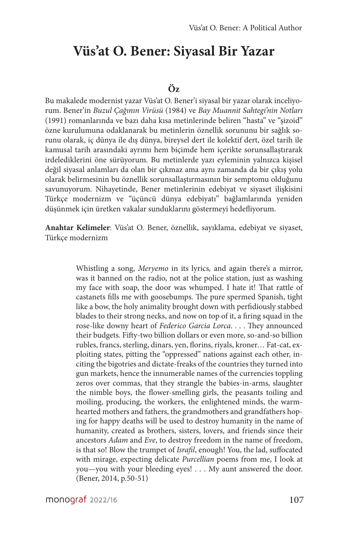# **Vüs'at O. Bener: Siyasal Bir Yazar**

#### **Öz**

Bu makalede modernist yazar Vüs'at O. Bener'i siyasal bir yazar olarak inceliyorum. Bener'in *Buzul Çağının Virüsü* (1984) ve *Bay Muannit Sahtegi'nin Notları* (1991) romanlarında ve bazı daha kısa metinlerinde beliren "hasta" ve "şizoid" özne kurulumuna odaklanarak bu metinlerin öznellik sorununu bir sağlık sorunu olarak, iç dünya ile dış dünya, bireysel dert ile kolektif dert, özel tarih ile kamusal tarih arasındaki ayrımı hem biçimde hem içerikte sorunsallaştırarak irdelediklerini öne sürüyorum. Bu metinlerde yazı eyleminin yalnızca kişisel değil siyasal anlamları da olan bir çıkmaz ama aynı zamanda da bir çıkış yolu olarak belirmesinin bu öznellik sorunsallaştırmasının bir semptomu olduğunu savunuyorum. Nihayetinde, Bener metinlerinin edebiyat ve siyaset ilişkisini Türkçe modernizm ve "üçüncü dünya edebiyatı" bağlamlarında yeniden düşünmek için üretken vakalar sunduklarını göstermeyi hedefliyorum.

**Anahtar Kelimeler**: Vüs'at O. Bener, öznellik, sayıklama, edebiyat ve siyaset, Türkçe modernizm

> Whistling a song, *Meryemo* in its lyrics*,* and again there's a mirror, was it banned on the radio, not at the police station, just as washing my face with soap, the door was whumped. I hate it! That rattle of castanets fills me with goosebumps. The pure spermed Spanish, tight like a bow, the holy animality brought down with perfidiously stabbed blades to their strong necks, and now on top of it, a firing squad in the rose-like downy heart of *Federico Garcia Lorca*. . . . They announced their budgets. Fifty-two billion dollars or even more, so-and-so billion rubles, francs, sterling, dinars, yen, florins, riyals, kroner… Fat-cat, exploiting states, pitting the "oppressed" nations against each other, inciting the bigotries and dictate-freaks of the countries they turned into gun markets, hence the innumerable names of the currencies toppling zeros over commas, that they strangle the babies-in-arms, slaughter the nimble boys, the flower-smelling girls, the peasants toiling and moiling, producing, the workers, the enlightened minds, the warmhearted mothers and fathers, the grandmothers and grandfathers hoping for happy deaths will be used to destroy humanity in the name of humanity, created as brothers, sisters, lovers, and friends since their ancestors *Adam* and *Eve*, to destroy freedom in the name of freedom, is that so! Blow the trumpet of *Israfil*, enough! You, the lad, suffocated with mirage, expecting delicate *Purcellian* poems from me, I look at you—you with your bleeding eyes! . . . My aunt answered the door. (Bener, 2014, p.50-51)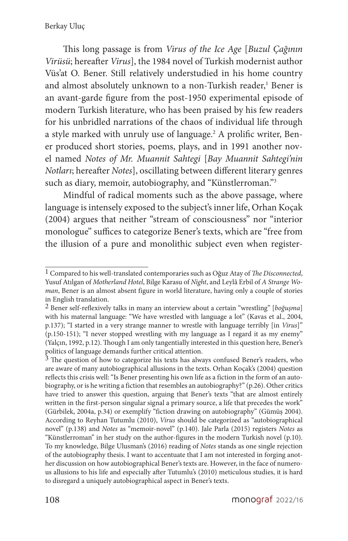This long passage is from *Virus of the Ice Age* [*Buzul Çağının Virüsü*; hereafter *Virus*], the 1984 novel of Turkish modernist author Vüs'at O. Bener. Still relatively understudied in his home country and almost absolutely unknown to a non-Turkish reader,<sup>1</sup> Bener is an avant-garde figure from the post-1950 experimental episode of modern Turkish literature, who has been praised by his few readers for his unbridled narrations of the chaos of individual life through a style marked with unruly use of language.2 A prolific writer, Bener produced short stories, poems, plays, and in 1991 another novel named *Notes of Mr. Muannit Sahtegi* [*Bay Muannit Sahtegi'nin Notları*; hereafter *Notes*], oscillating between different literary genres such as diary, memoir, autobiography, and "Künstlerroman."<sup>3</sup>

Mindful of radical moments such as the above passage, where language is intensely exposed to the subject's inner life, Orhan Koçak (2004) argues that neither "stream of consciousness" nor "interior monologue" suffices to categorize Bener's texts, which are "free from the illusion of a pure and monolithic subject even when register-

<sup>1</sup> Compared to his well-translated contemporaries such as Oğuz Atay of *The Disconnected*, Yusuf Atılgan of *Motherland Hotel*, Bilge Karasu of *Night*, and Leylâ Erbil of *A Strange Woman*, Bener is an almost absent figure in world literature, having only a couple of stories in English translation.

<sup>2</sup> Bener self-reflexively talks in many an interview about a certain "wrestling" [*boğuşma*] with his maternal language: "We have wrestled with language a lot" (Kavas et al., 2004, p.137); "I started in a very strange manner to wrestle with language terribly [in *Virus*]" (p.150-151); "I never stopped wrestling with my language as I regard it as my enemy" (Yalçın, 1992, p.12). Though I am only tangentially interested in this question here, Bener's politics of language demands further critical attention.

<sup>&</sup>lt;sup>3</sup> The question of how to categorize his texts has always confused Bener's readers, who are aware of many autobiographical allusions in the texts. Orhan Koçak's (2004) question reflects this crisis well: "Is Bener presenting his own life as a fiction in the form of an autobiography, or is he writing a fiction that resembles an autobiography?" (p.26). Other critics have tried to answer this question, arguing that Bener's texts "that are almost entirely written in the first-person singular signal a primary source, a life that precedes the work" (Gürbilek, 2004a, p.34) or exemplify "fiction drawing on autobiography" (Gümüş 2004). According to Reyhan Tutumlu (2010), *Virus* should be categorized as "autobiographical novel" (p.138) and *Notes* as "memoir-novel" (p.140). Jale Parla (2015) registers *Notes* as "Künstlerroman" in her study on the author-figures in the modern Turkish novel (p.10). To my knowledge, Bilge Ulusman's (2016) reading of *Notes* stands as one single rejection of the autobiography thesis. I want to accentuate that I am not interested in forging another discussion on how autobiographical Bener's texts are. However, in the face of numerous allusions to his life and especially after Tutumlu's (2010) meticulous studies, it is hard to disregard a uniquely autobiographical aspect in Bener's texts.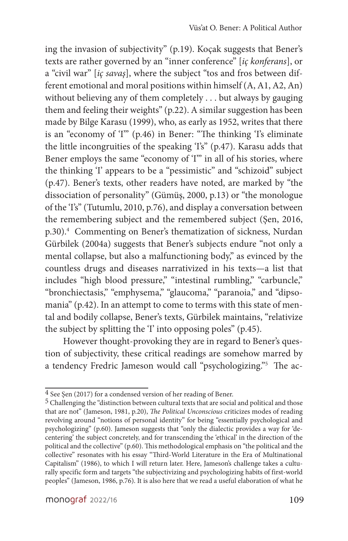ing the invasion of subjectivity" (p.19). Koçak suggests that Bener's texts are rather governed by an "inner conference" [*iç konferans*], or a "civil war" [*iç savaş*], where the subject "tos and fros between different emotional and moral positions within himself (A, A1, A2, An) without believing any of them completely . . . but always by gauging them and feeling their weights" (p.22). A similar suggestion has been made by Bilge Karasu (1999), who, as early as 1952, writes that there is an "economy of 'I'" (p.46) in Bener: "The thinking 'I's eliminate the little incongruities of the speaking 'I's" (p.47). Karasu adds that Bener employs the same "economy of 'I" in all of his stories, where the thinking 'I' appears to be a "pessimistic" and "schizoid" subject (p.47). Bener's texts, other readers have noted, are marked by "the dissociation of personality" (Gümüş, 2000, p.13) or "the monologue of the 'I's" (Tutumlu, 2010, p.76), and display a conversation between the remembering subject and the remembered subject (Şen, 2016, p.30).<sup>4</sup> Commenting on Bener's thematization of sickness, Nurdan Gürbilek (2004a) suggests that Bener's subjects endure "not only a mental collapse, but also a malfunctioning body," as evinced by the countless drugs and diseases narrativized in his texts—a list that includes "high blood pressure," "intestinal rumbling," "carbuncle," "bronchiectasis," "emphysema," "glaucoma," "paranoia," and "dipsomania" (p.42). In an attempt to come to terms with this state of mental and bodily collapse, Bener's texts, Gürbilek maintains, "relativize the subject by splitting the 'I' into opposing poles" (p.45).

However thought-provoking they are in regard to Bener's question of subjectivity, these critical readings are somehow marred by a tendency Fredric Jameson would call "psychologizing."<sup>5</sup> The ac-

<sup>4</sup> See Şen (2017) for a condensed version of her reading of Bener.

<sup>5</sup> Challenging the "distinction between cultural texts that are social and political and those that are not" (Jameson, 1981, p.20), *The Political Unconscious* criticizes modes of reading revolving around "notions of personal identity" for being "essentially psychological and psychologizing" (p.60). Jameson suggests that "only the dialectic provides a way for 'decentering' the subject concretely, and for transcending the 'ethical' in the direction of the political and the collective" (p.60). This methodological emphasis on "the political and the collective" resonates with his essay "Third-World Literature in the Era of Multinational Capitalism" (1986), to which I will return later. Here, Jameson's challenge takes a culturally specific form and targets "the subjectivizing and psychologizing habits of first-world peoples" (Jameson, 1986, p.76). It is also here that we read a useful elaboration of what he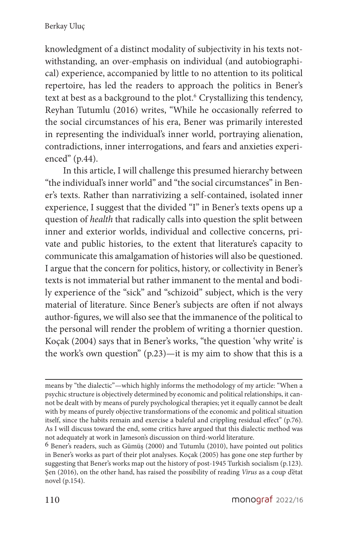knowledgment of a distinct modality of subjectivity in his texts notwithstanding, an over-emphasis on individual (and autobiographical) experience, accompanied by little to no attention to its political repertoire, has led the readers to approach the politics in Bener's text at best as a background to the plot.<sup>6</sup> Crystallizing this tendency, Reyhan Tutumlu (2016) writes, "While he occasionally referred to the social circumstances of his era, Bener was primarily interested in representing the individual's inner world, portraying alienation, contradictions, inner interrogations, and fears and anxieties experienced" (p.44).

In this article, I will challenge this presumed hierarchy between "the individual's inner world" and "the social circumstances" in Bener's texts. Rather than narrativizing a self-contained, isolated inner experience, I suggest that the divided "I" in Bener's texts opens up a question of *health* that radically calls into question the split between inner and exterior worlds, individual and collective concerns, private and public histories, to the extent that literature's capacity to communicate this amalgamation of histories will also be questioned. I argue that the concern for politics, history, or collectivity in Bener's texts is not immaterial but rather immanent to the mental and bodily experience of the "sick" and "schizoid" subject, which is the very material of literature. Since Bener's subjects are often if not always author-figures, we will also see that the immanence of the political to the personal will render the problem of writing a thornier question. Koçak (2004) says that in Bener's works, "the question 'why write' is the work's own question" (p.23)—it is my aim to show that this is a

means by "the dialectic"—which highly informs the methodology of my article: "When a psychic structure is objectively determined by economic and political relationships, it cannot be dealt with by means of purely psychological therapies; yet it equally cannot be dealt with by means of purely objective transformations of the economic and political situation itself, since the habits remain and exercise a baleful and crippling residual effect" (p.76). As I will discuss toward the end, some critics have argued that this dialectic method was not adequately at work in Jameson's discussion on third-world literature.

<sup>6</sup> Bener's readers, such as Gümüş (2000) and Tutumlu (2010), have pointed out politics in Bener's works as part of their plot analyses. Koçak (2005) has gone one step further by suggesting that Bener's works map out the history of post-1945 Turkish socialism (p.123). Şen (2016), on the other hand, has raised the possibility of reading *Virus* as a coup d'état novel (p.154).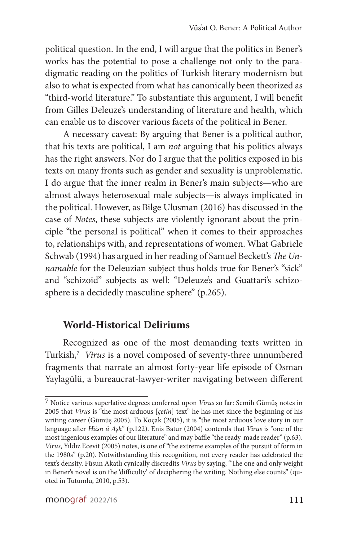political question. In the end, I will argue that the politics in Bener's works has the potential to pose a challenge not only to the paradigmatic reading on the politics of Turkish literary modernism but also to what is expected from what has canonically been theorized as "third-world literature." To substantiate this argument, I will benefit from Gilles Deleuze's understanding of literature and health, which can enable us to discover various facets of the political in Bener.

A necessary caveat: By arguing that Bener is a political author, that his texts are political, I am *not* arguing that his politics always has the right answers. Nor do I argue that the politics exposed in his texts on many fronts such as gender and sexuality is unproblematic. I do argue that the inner realm in Bener's main subjects—who are almost always heterosexual male subjects—is always implicated in the political. However, as Bilge Ulusman (2016) has discussed in the case of *Notes*, these subjects are violently ignorant about the principle "the personal is political" when it comes to their approaches to, relationships with, and representations of women. What Gabriele Schwab (1994) has argued in her reading of Samuel Beckett's *The Unnamable* for the Deleuzian subject thus holds true for Bener's "sick" and "schizoid" subjects as well: "Deleuze's and Guattari's schizosphere is a decidedly masculine sphere" (p.265).

## **World-Historical Deliriums**

Recognized as one of the most demanding texts written in Turkish,<sup>7</sup> Virus is a novel composed of seventy-three unnumbered fragments that narrate an almost forty-year life episode of Osman Yaylagülü, a bureaucrat-lawyer-writer navigating between different

<sup>7</sup> Notice various superlative degrees conferred upon *Virus* so far: Semih Gümüş notes in 2005 that *Virus* is "the most arduous [*çetin*] text" he has met since the beginning of his writing career (Gümüş 2005). To Koçak (2005), it is "the most arduous love story in our language after *Hüsn ü Aşk*" (p.122). Enis Batur (2004) contends that *Virus* is "one of the most ingenious examples of our literature" and may baffle "the ready-made reader" (p.63). *Virus*, Yıldız Ecevit (2005) notes, is one of "the extreme examples of the pursuit of form in the 1980s" (p.20). Notwithstanding this recognition, not every reader has celebrated the text's density. Füsun Akatlı cynically discredits *Virus* by saying, "The one and only weight in Bener's novel is on the 'difficulty' of deciphering the writing. Nothing else counts" (quoted in Tutumlu, 2010, p.53).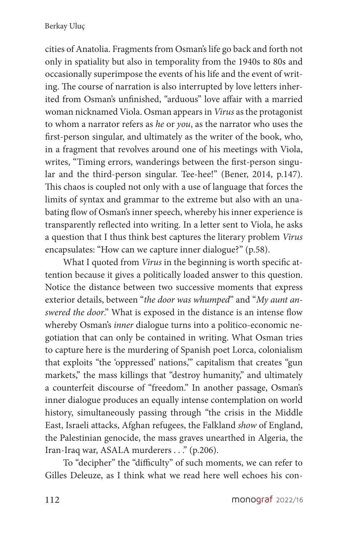cities of Anatolia. Fragments from Osman's life go back and forth not only in spatiality but also in temporality from the 1940s to 80s and occasionally superimpose the events of his life and the event of writing. The course of narration is also interrupted by love letters inherited from Osman's unfinished, "arduous" love affair with a married woman nicknamed Viola. Osman appears in *Virus* as the protagonist to whom a narrator refers as *he* or *you*, as the narrator who uses the first-person singular, and ultimately as the writer of the book, who, in a fragment that revolves around one of his meetings with Viola, writes, "Timing errors, wanderings between the first-person singular and the third-person singular. Tee-hee!" (Bener, 2014, p.147). This chaos is coupled not only with a use of language that forces the limits of syntax and grammar to the extreme but also with an unabating flow of Osman's inner speech, whereby his inner experience is transparently reflected into writing. In a letter sent to Viola, he asks a question that I thus think best captures the literary problem *Virus* encapsulates: "How can we capture inner dialogue?" (p.58).

What I quoted from *Virus* in the beginning is worth specific attention because it gives a politically loaded answer to this question. Notice the distance between two successive moments that express exterior details, between "*the door was whumped*" and "*My aunt answered the door*." What is exposed in the distance is an intense flow whereby Osman's *inner* dialogue turns into a politico-economic negotiation that can only be contained in writing. What Osman tries to capture here is the murdering of Spanish poet Lorca, colonialism that exploits "the 'oppressed' nations,'" capitalism that creates "gun markets," the mass killings that "destroy humanity," and ultimately a counterfeit discourse of "freedom." In another passage, Osman's inner dialogue produces an equally intense contemplation on world history, simultaneously passing through "the crisis in the Middle East, Israeli attacks, Afghan refugees, the Falkland *show* of England, the Palestinian genocide, the mass graves unearthed in Algeria, the Iran-Iraq war, ASALA murderers . . ." (p.206).

To "decipher" the "difficulty" of such moments, we can refer to Gilles Deleuze, as I think what we read here well echoes his con-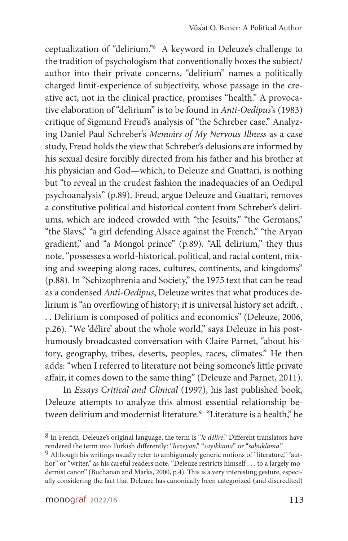ceptualization of "delirium."<sup>8</sup> A keyword in Deleuze's challenge to the tradition of psychologism that conventionally boxes the subject/ author into their private concerns, "delirium" names a politically charged limit-experience of subjectivity, whose passage in the creative act, not in the clinical practice, promises "health." A provocative elaboration of "delirium" is to be found in *Anti-Oedipus*'s (1983) critique of Sigmund Freud's analysis of "the Schreber case." Analyzing Daniel Paul Schreber's *Memoirs of My Nervous Illness* as a case study, Freud holds the view that Schreber's delusions are informed by his sexual desire forcibly directed from his father and his brother at his physician and God—which, to Deleuze and Guattari, is nothing but "to reveal in the crudest fashion the inadequacies of an Oedipal psychoanalysis" (p.89). Freud, argue Deleuze and Guattari, removes a constitutive political and historical content from Schreber's deliriums, which are indeed crowded with "the Jesuits," "the Germans," "the Slavs," "a girl defending Alsace against the French," "the Aryan gradient," and "a Mongol prince" (p.89). "All delirium," they thus note, "possesses a world-historical, political, and racial content, mixing and sweeping along races, cultures, continents, and kingdoms" (p.88). In "Schizophrenia and Society," the 1975 text that can be read as a condensed *Anti-Oedipus*, Deleuze writes that what produces delirium is "an overflowing of history; it is universal history set adrift. . . . Delirium is composed of politics and economics" (Deleuze, 2006, p.26). "We 'délire' about the whole world," says Deleuze in his posthumously broadcasted conversation with Claire Parnet, "about history, geography, tribes, deserts, peoples, races, climates." He then adds: "when I referred to literature not being someone's little private affair, it comes down to the same thing" (Deleuze and Parnet, 2011).

In *Essays Critical and Clinical* (1997), his last published book, Deleuze attempts to analyze this almost essential relationship between delirium and modernist literature.<sup>9</sup> "Literature is a health," he

<sup>8</sup> In French, Deleuze's original language, the term is "*le délire*." Different translators have rendered the term into Turkish differently: "*hezeyan*," "*sayıklama*" or "*sabuklama*."

<sup>9</sup> Although his writings usually refer to ambiguously generic notions of "literature," "author" or "writer," as his careful readers note, "Deleuze restricts himself . . . to a largely modernist canon" (Buchanan and Marks, 2000, p.4). This is a very interesting gesture, especially considering the fact that Deleuze has canonically been categorized (and discredited)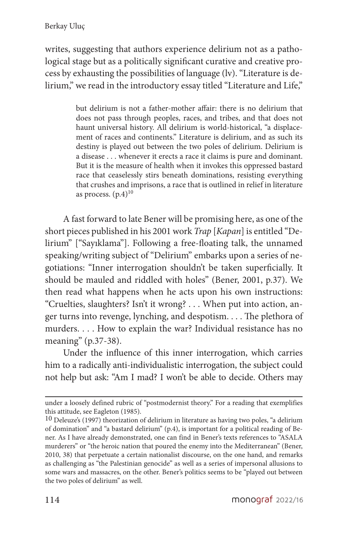writes, suggesting that authors experience delirium not as a pathological stage but as a politically significant curative and creative process by exhausting the possibilities of language (lv). "Literature is delirium," we read in the introductory essay titled "Literature and Life,"

> but delirium is not a father-mother affair: there is no delirium that does not pass through peoples, races, and tribes, and that does not haunt universal history. All delirium is world-historical, "a displacement of races and continents." Literature is delirium, and as such its destiny is played out between the two poles of delirium. Delirium is a disease . . . whenever it erects a race it claims is pure and dominant. But it is the measure of health when it invokes this oppressed bastard race that ceaselessly stirs beneath dominations, resisting everything that crushes and imprisons, a race that is outlined in relief in literature as process.  $(p.4)^{10}$

A fast forward to late Bener will be promising here, as one of the short pieces published in his 2001 work *Trap* [*Kapan*] is entitled "Delirium" ["Sayıklama"]. Following a free-floating talk, the unnamed speaking/writing subject of "Delirium" embarks upon a series of negotiations: "Inner interrogation shouldn't be taken superficially. It should be mauled and riddled with holes" (Bener, 2001, p.37). We then read what happens when he acts upon his own instructions: "Cruelties, slaughters? Isn't it wrong? . . . When put into action, anger turns into revenge, lynching, and despotism. . . . The plethora of murders. . . . How to explain the war? Individual resistance has no meaning" (p.37-38).

Under the influence of this inner interrogation, which carries him to a radically anti-individualistic interrogation, the subject could not help but ask: "Am I mad? I won't be able to decide. Others may

under a loosely defined rubric of "postmodernist theory." For a reading that exemplifies this attitude, see Eagleton (1985).

<sup>10</sup> Deleuze's (1997) theorization of delirium in literature as having two poles, "a delirium of domination" and "a bastard delirium" (p.4), is important for a political reading of Bener. As I have already demonstrated, one can find in Bener's texts references to "ASALA murderers" or "the heroic nation that poured the enemy into the Mediterranean" (Bener, 2010, 38) that perpetuate a certain nationalist discourse, on the one hand, and remarks as challenging as "the Palestinian genocide" as well as a series of impersonal allusions to some wars and massacres, on the other. Bener's politics seems to be "played out between the two poles of delirium" as well.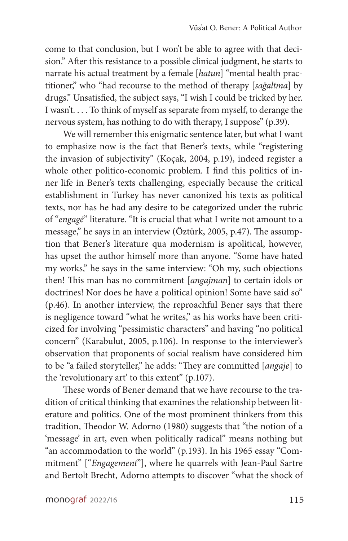come to that conclusion, but I won't be able to agree with that decision." After this resistance to a possible clinical judgment, he starts to narrate his actual treatment by a female [*hatun*] "mental health practitioner," who "had recourse to the method of therapy [*sağaltma*] by drugs." Unsatisfied, the subject says, "I wish I could be tricked by her. I wasn't. . . . To think of myself as separate from myself, to derange the nervous system, has nothing to do with therapy, I suppose" (p.39).

We will remember this enigmatic sentence later, but what I want to emphasize now is the fact that Bener's texts, while "registering the invasion of subjectivity" (Koçak, 2004, p.19), indeed register a whole other politico-economic problem. I find this politics of inner life in Bener's texts challenging, especially because the critical establishment in Turkey has never canonized his texts as political texts, nor has he had any desire to be categorized under the rubric of "*engagé*" literature. "It is crucial that what I write not amount to a message," he says in an interview (Öztürk, 2005, p.47). The assumption that Bener's literature qua modernism is apolitical, however, has upset the author himself more than anyone. "Some have hated my works," he says in the same interview: "Oh my, such objections then! This man has no commitment [*angajman*] to certain idols or doctrines! Nor does he have a political opinion! Some have said so" (p.46). In another interview, the reproachful Bener says that there is negligence toward "what he writes," as his works have been criticized for involving "pessimistic characters" and having "no political concern" (Karabulut, 2005, p.106). In response to the interviewer's observation that proponents of social realism have considered him to be "a failed storyteller," he adds: "They are committed [*angaje*] to the 'revolutionary art' to this extent" (p.107).

These words of Bener demand that we have recourse to the tradition of critical thinking that examines the relationship between literature and politics. One of the most prominent thinkers from this tradition, Theodor W. Adorno (1980) suggests that "the notion of a 'message' in art, even when politically radical" means nothing but "an accommodation to the world" (p.193). In his 1965 essay "Commitment" ["*Engagement*"], where he quarrels with Jean-Paul Sartre and Bertolt Brecht, Adorno attempts to discover "what the shock of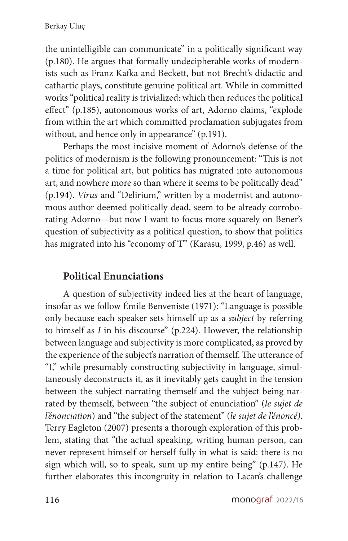the unintelligible can communicate" in a politically significant way (p.180). He argues that formally undecipherable works of modernists such as Franz Kafka and Beckett, but not Brecht's didactic and cathartic plays, constitute genuine political art. While in committed works "political reality is trivialized: which then reduces the political effect" (p.185), autonomous works of art, Adorno claims, "explode from within the art which committed proclamation subjugates from without, and hence only in appearance" (p.191).

Perhaps the most incisive moment of Adorno's defense of the politics of modernism is the following pronouncement: "This is not a time for political art, but politics has migrated into autonomous art, and nowhere more so than where it seems to be politically dead" (p.194). *Virus* and "Delirium," written by a modernist and autonomous author deemed politically dead, seem to be already corroborating Adorno—but now I want to focus more squarely on Bener's question of subjectivity as a political question, to show that politics has migrated into his "economy of 'I"" (Karasu, 1999, p.46) as well.

## **Political Enunciations**

A question of subjectivity indeed lies at the heart of language, insofar as we follow Émile Benveniste (1971): "Language is possible only because each speaker sets himself up as a *subject* by referring to himself as *I* in his discourse" (p.224). However, the relationship between language and subjectivity is more complicated, as proved by the experience of the subject's narration of themself. The utterance of "I," while presumably constructing subjectivity in language, simultaneously deconstructs it, as it inevitably gets caught in the tension between the subject narrating themself and the subject being narrated by themself, between "the subject of enunciation" (*le sujet de l'énonciation*) and "the subject of the statement" (*le sujet de l'énoncé)*. Terry Eagleton (2007) presents a thorough exploration of this problem, stating that "the actual speaking, writing human person, can never represent himself or herself fully in what is said: there is no sign which will, so to speak, sum up my entire being" (p.147). He further elaborates this incongruity in relation to Lacan's challenge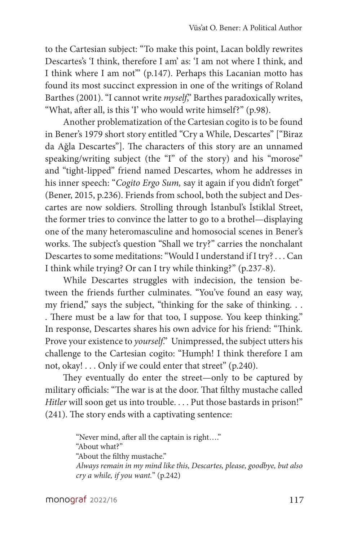to the Cartesian subject: "To make this point, Lacan boldly rewrites Descartes's 'I think, therefore I am' as: 'I am not where I think, and I think where I am not'" (p.147). Perhaps this Lacanian motto has found its most succinct expression in one of the writings of Roland Barthes (2001). "I cannot write *myself*," Barthes paradoxically writes, "What, after all, is this 'I' who would write himself?" (p.98).

Another problematization of the Cartesian cogito is to be found in Bener's 1979 short story entitled "Cry a While, Descartes" ["Biraz da Ağla Descartes"]. The characters of this story are an unnamed speaking/writing subject (the "I" of the story) and his "morose" and "tight-lipped" friend named Descartes, whom he addresses in his inner speech: "*Cogito Ergo Sum,* say it again if you didn't forget" (Bener, 2015, p.236). Friends from school, both the subject and Descartes are now soldiers. Strolling through İstanbul's İstiklal Street, the former tries to convince the latter to go to a brothel—displaying one of the many heteromasculine and homosocial scenes in Bener's works. The subject's question "Shall we try?" carries the nonchalant Descartes to some meditations: "Would I understand if I try? . . . Can I think while trying? Or can I try while thinking?" (p.237-8).

While Descartes struggles with indecision, the tension between the friends further culminates. "You've found an easy way, my friend," says the subject, "thinking for the sake of thinking. . . . There must be a law for that too, I suppose. You keep thinking." In response, Descartes shares his own advice for his friend: "Think. Prove your existence to *yourself*." Unimpressed, the subject utters his challenge to the Cartesian cogito: "Humph! I think therefore I am not, okay! . . . Only if we could enter that street" (p.240).

They eventually do enter the street—only to be captured by military officials: "The war is at the door. That filthy mustache called *Hitler* will soon get us into trouble. . . . Put those bastards in prison!" (241). The story ends with a captivating sentence:

> "Never mind, after all the captain is right…." "About what?" "About the filthy mustache." *Always remain in my mind like this, Descartes, please, goodbye, but also cry a while, if you want.*" (p.242)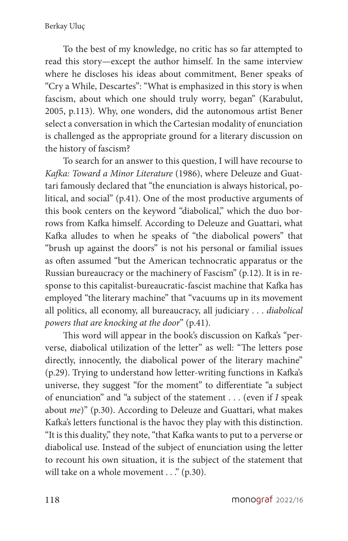To the best of my knowledge, no critic has so far attempted to read this story—except the author himself. In the same interview where he discloses his ideas about commitment, Bener speaks of "Cry a While, Descartes": "What is emphasized in this story is when fascism, about which one should truly worry, began" (Karabulut, 2005, p.113). Why, one wonders, did the autonomous artist Bener select a conversation in which the Cartesian modality of enunciation is challenged as the appropriate ground for a literary discussion on the history of fascism?

To search for an answer to this question, I will have recourse to *Kafka: Toward a Minor Literature* (1986), where Deleuze and Guattari famously declared that "the enunciation is always historical, political, and social" (p.41). One of the most productive arguments of this book centers on the keyword "diabolical," which the duo borrows from Kafka himself. According to Deleuze and Guattari, what Kafka alludes to when he speaks of "the diabolical powers" that "brush up against the doors" is not his personal or familial issues as often assumed "but the American technocratic apparatus or the Russian bureaucracy or the machinery of Fascism" (p.12). It is in response to this capitalist-bureaucratic-fascist machine that Kafka has employed "the literary machine" that "vacuums up in its movement all politics, all economy, all bureaucracy, all judiciary . . . *diabolical powers that are knocking at the door*" (p.41).

This word will appear in the book's discussion on Kafka's "perverse, diabolical utilization of the letter" as well: "The letters pose directly, innocently, the diabolical power of the literary machine" (p.29). Trying to understand how letter-writing functions in Kafka's universe, they suggest "for the moment" to differentiate "a subject of enunciation" and "a subject of the statement . . . (even if *I* speak about *me*)" (p.30). According to Deleuze and Guattari, what makes Kafka's letters functional is the havoc they play with this distinction. "It is this duality," they note, "that Kafka wants to put to a perverse or diabolical use. Instead of the subject of enunciation using the letter to recount his own situation, it is the subject of the statement that will take on a whole movement . . ." (p.30).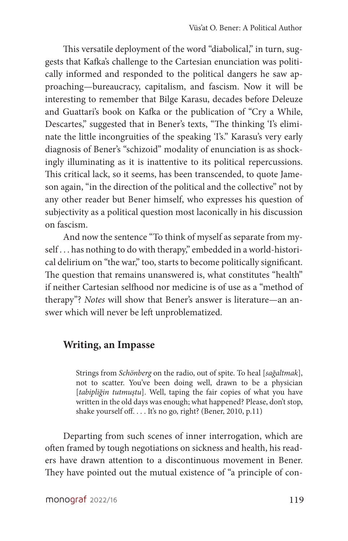This versatile deployment of the word "diabolical," in turn, suggests that Kafka's challenge to the Cartesian enunciation was politically informed and responded to the political dangers he saw approaching—bureaucracy, capitalism, and fascism. Now it will be interesting to remember that Bilge Karasu, decades before Deleuze and Guattari's book on Kafka or the publication of "Cry a While, Descartes," suggested that in Bener's texts, "The thinking 'I's eliminate the little incongruities of the speaking 'I's." Karasu's very early diagnosis of Bener's "schizoid" modality of enunciation is as shockingly illuminating as it is inattentive to its political repercussions. This critical lack, so it seems, has been transcended, to quote Jameson again, "in the direction of the political and the collective" not by any other reader but Bener himself, who expresses his question of subjectivity as a political question most laconically in his discussion on fascism.

And now the sentence "To think of myself as separate from myself . . . has nothing to do with therapy," embedded in a world-historical delirium on "the war," too, starts to become politically significant. The question that remains unanswered is, what constitutes "health" if neither Cartesian selfhood nor medicine is of use as a "method of therapy"? *Notes* will show that Bener's answer is literature—an answer which will never be left unproblematized.

#### **Writing, an Impasse**

Strings from *Schönberg* on the radio, out of spite. To heal [*sağaltmak*], not to scatter. You've been doing well, drawn to be a physician [*tabipliğin tutmuştu*]. Well, taping the fair copies of what you have written in the old days was enough; what happened? Please, don't stop, shake yourself off. . . . It's no go, right? (Bener, 2010, p.11)

Departing from such scenes of inner interrogation, which are often framed by tough negotiations on sickness and health, his readers have drawn attention to a discontinuous movement in Bener. They have pointed out the mutual existence of "a principle of con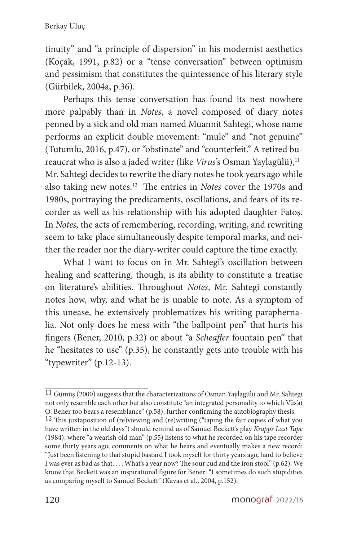tinuity" and "a principle of dispersion" in his modernist aesthetics (Koçak, 1991, p.82) or a "tense conversation" between optimism and pessimism that constitutes the quintessence of his literary style (Gürbilek, 2004a, p.36).

Perhaps this tense conversation has found its nest nowhere more palpably than in *Notes*, a novel composed of diary notes penned by a sick and old man named Muannit Sahtegi, whose name performs an explicit double movement: "mule" and "not genuine" (Tutumlu, 2016, p.47), or "obstinate" and "counterfeit." A retired bureaucrat who is also a jaded writer (like *Virus*'s Osman Yaylagülü),<sup>11</sup> Mr. Sahtegi decides to rewrite the diary notes he took years ago while also taking new notes.<sup>12</sup> The entries in *Notes* cover the 1970s and 1980s, portraying the predicaments, oscillations, and fears of its recorder as well as his relationship with his adopted daughter Fatoş. In *Notes*, the acts of remembering, recording, writing, and rewriting seem to take place simultaneously despite temporal marks, and neither the reader nor the diary-writer could capture the time exactly.

What I want to focus on in Mr. Sahtegi's oscillation between healing and scattering, though, is its ability to constitute a treatise on literature's abilities. Throughout *Notes*, Mr. Sahtegi constantly notes how, why, and what he is unable to note. As a symptom of this unease, he extensively problematizes his writing paraphernalia. Not only does he mess with "the ballpoint pen" that hurts his fingers (Bener, 2010, p.32) or about "a *Scheaffer* fountain pen" that he "hesitates to use" (p.35), he constantly gets into trouble with his "typewriter" (p.12-13).

<sup>11</sup> Gümüş (2000) suggests that the characterizations of Osman Yaylagülü and Mr. Sahtegi not only resemble each other but also constitute "an integrated personality to which Vüs'at O. Bener too bears a resemblance" (p.58), further confirming the autobiography thesis.

<sup>12</sup> This juxtaposition of (re)viewing and (re)writing ("taping the fair copies of what you have written in the old days") should remind us of Samuel Beckett's play *Krapp's Last Tape* (1984), where "a wearish old man" (p.55) listens to what he recorded on his tape recorder some thirty years ago, comments on what he hears and eventually makes a new record: "Just been listening to that stupid bastard I took myself for thirty years ago, hard to believe I was ever as bad as that. . . . What's a year now? The sour cud and the iron stool" (p.62). We know that Beckett was an inspirational figure for Bener: "I sometimes do such stupidities as comparing myself to Samuel Beckett" (Kavas et al., 2004, p.152).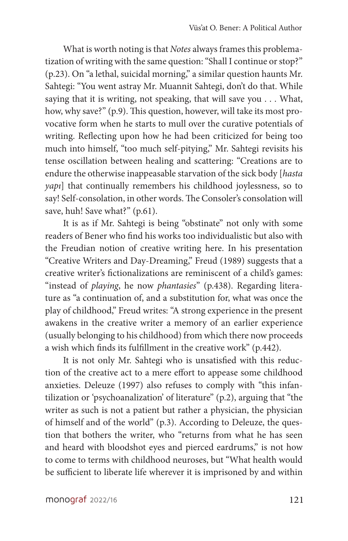What is worth noting is that *Notes* always frames this problematization of writing with the same question: "Shall I continue or stop?" (p.23). On "a lethal, suicidal morning," a similar question haunts Mr. Sahtegi: "You went astray Mr. Muannit Sahtegi, don't do that. While saying that it is writing, not speaking, that will save you . . . What, how, why save?" (p.9). This question, however, will take its most provocative form when he starts to mull over the curative potentials of writing. Reflecting upon how he had been criticized for being too much into himself, "too much self-pitying," Mr. Sahtegi revisits his tense oscillation between healing and scattering: "Creations are to endure the otherwise inappeasable starvation of the sick body [*hasta yapı*] that continually remembers his childhood joylessness, so to say! Self-consolation, in other words. The Consoler's consolation will save, huh! Save what?" (p.61).

It is as if Mr. Sahtegi is being "obstinate" not only with some readers of Bener who find his works too individualistic but also with the Freudian notion of creative writing here. In his presentation "Creative Writers and Day-Dreaming," Freud (1989) suggests that a creative writer's fictionalizations are reminiscent of a child's games: "instead of *playing*, he now *phantasies*" (p.438). Regarding literature as "a continuation of, and a substitution for, what was once the play of childhood," Freud writes: "A strong experience in the present awakens in the creative writer a memory of an earlier experience (usually belonging to his childhood) from which there now proceeds a wish which finds its fulfillment in the creative work" (p.442).

It is not only Mr. Sahtegi who is unsatisfied with this reduction of the creative act to a mere effort to appease some childhood anxieties. Deleuze (1997) also refuses to comply with "this infantilization or 'psychoanalization' of literature" (p.2), arguing that "the writer as such is not a patient but rather a physician, the physician of himself and of the world" (p.3). According to Deleuze, the question that bothers the writer, who "returns from what he has seen and heard with bloodshot eyes and pierced eardrums," is not how to come to terms with childhood neuroses, but "What health would be sufficient to liberate life wherever it is imprisoned by and within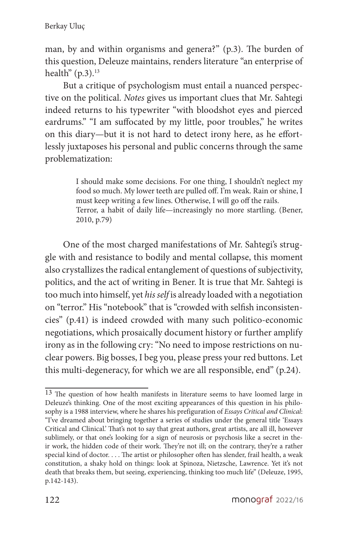man, by and within organisms and genera?" (p.3). The burden of this question, Deleuze maintains, renders literature "an enterprise of health"  $(p.3).^{13}$ 

But a critique of psychologism must entail a nuanced perspective on the political. *Notes* gives us important clues that Mr. Sahtegi indeed returns to his typewriter "with bloodshot eyes and pierced eardrums." "I am suffocated by my little, poor troubles," he writes on this diary—but it is not hard to detect irony here, as he effortlessly juxtaposes his personal and public concerns through the same problematization:

> I should make some decisions. For one thing, I shouldn't neglect my food so much. My lower teeth are pulled off. I'm weak. Rain or shine, I must keep writing a few lines. Otherwise, I will go off the rails. Terror, a habit of daily life—increasingly no more startling. (Bener, 2010, p.79)

One of the most charged manifestations of Mr. Sahtegi's struggle with and resistance to bodily and mental collapse, this moment also crystallizes the radical entanglement of questions of subjectivity, politics, and the act of writing in Bener. It is true that Mr. Sahtegi is too much into himself, yet *his self* is already loaded with a negotiation on "terror." His "notebook" that is "crowded with selfish inconsistencies" (p.41) is indeed crowded with many such politico-economic negotiations, which prosaically document history or further amplify irony as in the following cry: "No need to impose restrictions on nuclear powers. Big bosses, I beg you, please press your red buttons. Let this multi-degeneracy, for which we are all responsible, end" (p.24).

<sup>13</sup> The question of how health manifests in literature seems to have loomed large in Deleuze's thinking. One of the most exciting appearances of this question in his philosophy is a 1988 interview, where he shares his prefiguration of *Essays Critical and Clinical*: "I've dreamed about bringing together a series of studies under the general title 'Essays Critical and Clinical.' That's not to say that great authors, great artists, are all ill, however sublimely, or that one's looking for a sign of neurosis or psychosis like a secret in their work, the hidden code of their work. They're not ill; on the contrary, they're a rather special kind of doctor. . . . The artist or philosopher often has slender, frail health, a weak constitution, a shaky hold on things: look at Spinoza, Nietzsche, Lawrence. Yet it's not death that breaks them, but seeing, experiencing, thinking too much life" (Deleuze, 1995, p.142-143).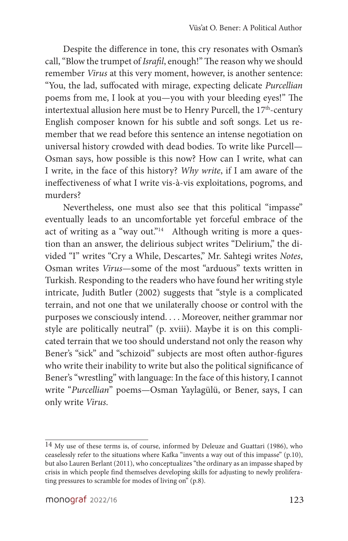Despite the difference in tone, this cry resonates with Osman's call, "Blow the trumpet of *Israfil*, enough!" The reason why we should remember *Virus* at this very moment, however, is another sentence: "You, the lad, suffocated with mirage, expecting delicate *Purcellian* poems from me, I look at you—you with your bleeding eyes!" The intertextual allusion here must be to Henry Purcell, the  $17<sup>th</sup>$ -century English composer known for his subtle and soft songs. Let us remember that we read before this sentence an intense negotiation on universal history crowded with dead bodies. To write like Purcell— Osman says, how possible is this now? How can I write, what can I write, in the face of this history? *Why write*, if I am aware of the ineffectiveness of what I write vis-à-vis exploitations, pogroms, and murders?

Nevertheless, one must also see that this political "impasse" eventually leads to an uncomfortable yet forceful embrace of the act of writing as a "way out." $14$  Although writing is more a question than an answer, the delirious subject writes "Delirium," the divided "I" writes "Cry a While, Descartes," Mr. Sahtegi writes *Notes*, Osman writes *Virus*—some of the most "arduous" texts written in Turkish. Responding to the readers who have found her writing style intricate, Judith Butler (2002) suggests that "style is a complicated terrain, and not one that we unilaterally choose or control with the purposes we consciously intend. . . . Moreover, neither grammar nor style are politically neutral" (p. xviii). Maybe it is on this complicated terrain that we too should understand not only the reason why Bener's "sick" and "schizoid" subjects are most often author-figures who write their inability to write but also the political significance of Bener's "wrestling" with language: In the face of this history, I cannot write "*Purcellian*" poems—Osman Yaylagülü, or Bener, says, I can only write *Virus*.

<sup>14</sup> My use of these terms is, of course, informed by Deleuze and Guattari (1986), who ceaselessly refer to the situations where Kafka "invents a way out of this impasse" (p.10), but also Lauren Berlant (2011), who conceptualizes "the ordinary as an impasse shaped by crisis in which people find themselves developing skills for adjusting to newly proliferating pressures to scramble for modes of living on"  $(p, 8)$ .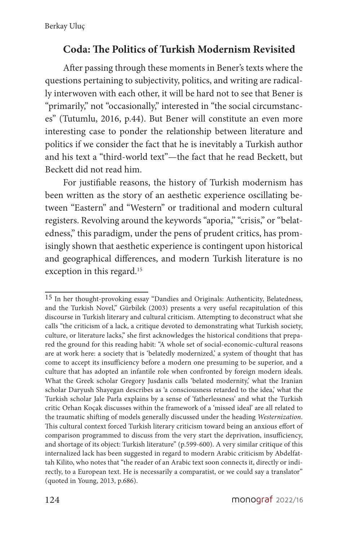## **Coda: The Politics of Turkish Modernism Revisited**

After passing through these moments in Bener's texts where the questions pertaining to subjectivity, politics, and writing are radically interwoven with each other, it will be hard not to see that Bener is "primarily," not "occasionally," interested in "the social circumstances" (Tutumlu, 2016, p.44). But Bener will constitute an even more interesting case to ponder the relationship between literature and politics if we consider the fact that he is inevitably a Turkish author and his text a "third-world text"—the fact that he read Beckett, but Beckett did not read him.

For justifiable reasons, the history of Turkish modernism has been written as the story of an aesthetic experience oscillating between "Eastern" and "Western" or traditional and modern cultural registers. Revolving around the keywords "aporia," "crisis," or "belatedness," this paradigm, under the pens of prudent critics, has promisingly shown that aesthetic experience is contingent upon historical and geographical differences, and modern Turkish literature is no exception in this regard. $15$ 

<sup>15</sup> In her thought-provoking essay "Dandies and Originals: Authenticity, Belatedness, and the Turkish Novel," Gürbilek (2003) presents a very useful recapitulation of this discourse in Turkish literary and cultural criticism. Attempting to deconstruct what she calls "the criticism of a lack, a critique devoted to demonstrating what Turkish society, culture, or literature lacks," she first acknowledges the historical conditions that prepared the ground for this reading habit: "A whole set of social-economic-cultural reasons are at work here: a society that is 'belatedly modernized,' a system of thought that has come to accept its insufficiency before a modern one presuming to be superior, and a culture that has adopted an infantile role when confronted by foreign modern ideals. What the Greek scholar Gregory Jusdanis calls 'belated modernity,' what the Iranian scholar Daryush Shayegan describes as 'a consciousness retarded to the idea,' what the Turkish scholar Jale Parla explains by a sense of 'fatherlessness' and what the Turkish critic Orhan Koçak discusses within the framework of a 'missed ideal' are all related to the traumatic shifting of models generally discussed under the heading *Westernization*. This cultural context forced Turkish literary criticism toward being an anxious effort of comparison programmed to discuss from the very start the deprivation, insufficiency, and shortage of its object: Turkish literature" (p.599-600). A very similar critique of this internalized lack has been suggested in regard to modern Arabic criticism by Abdelfattah Kilito, who notes that "the reader of an Arabic text soon connects it, directly or indirectly, to a European text. He is necessarily a comparatist, or we could say a translator" (quoted in Young, 2013, p.686).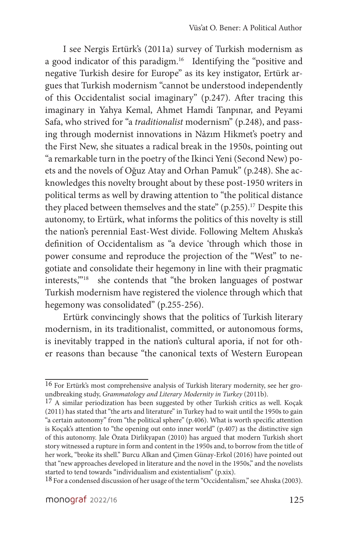I see Nergis Ertürk's (2011a) survey of Turkish modernism as a good indicator of this paradigm.<sup>16</sup> Identifying the "positive and negative Turkish desire for Europe" as its key instigator, Ertürk argues that Turkish modernism "cannot be understood independently of this Occidentalist social imaginary" (p.247). After tracing this imaginary in Yahya Kemal, Ahmet Hamdi Tanpınar, and Peyami Safa, who strived for "a *traditionalist* modernism" (p.248), and passing through modernist innovations in Nâzım Hikmet's poetry and the First New, she situates a radical break in the 1950s, pointing out "a remarkable turn in the poetry of the Ikinci Yeni (Second New) poets and the novels of Oğuz Atay and Orhan Pamuk" (p.248). She acknowledges this novelty brought about by these post-1950 writers in political terms as well by drawing attention to "the political distance they placed between themselves and the state"  $(p.255)$ .<sup>17</sup> Despite this autonomy, to Ertürk, what informs the politics of this novelty is still the nation's perennial East-West divide. Following Meltem Ahıska's definition of Occidentalism as "a device 'through which those in power consume and reproduce the projection of the "West" to negotiate and consolidate their hegemony in line with their pragmatic interests,"<sup>18</sup> she contends that "the broken languages of postwar Turkish modernism have registered the violence through which that hegemony was consolidated" (p.255-256).

Ertürk convincingly shows that the politics of Turkish literary modernism, in its traditionalist, committed, or autonomous forms, is inevitably trapped in the nation's cultural aporia, if not for other reasons than because "the canonical texts of Western European

<sup>16</sup> For Ertürk's most comprehensive analysis of Turkish literary modernity, see her groundbreaking study, *Grammatology and Literary Modernity in Turkey* (2011b).

<sup>&</sup>lt;sup>17</sup> A similar periodization has been suggested by other Turkish critics as well. Kocak (2011) has stated that "the arts and literature" in Turkey had to wait until the 1950s to gain "a certain autonomy" from "the political sphere" (p.406). What is worth specific attention is Koçak's attention to "the opening out onto inner world" (p.407) as the distinctive sign of this autonomy. Jale Özata Dirlikyapan (2010) has argued that modern Turkish short story witnessed a rupture in form and content in the 1950s and, to borrow from the title of her work, "broke its shell." Burcu Alkan and Çimen Günay-Erkol (2016) have pointed out that "new approaches developed in literature and the novel in the 1950s," and the novelists started to tend towards "individualism and existentialism" (p.xix).

<sup>18</sup> For a condensed discussion of her usage of the term "Occidentalism," see Ahıska (2003).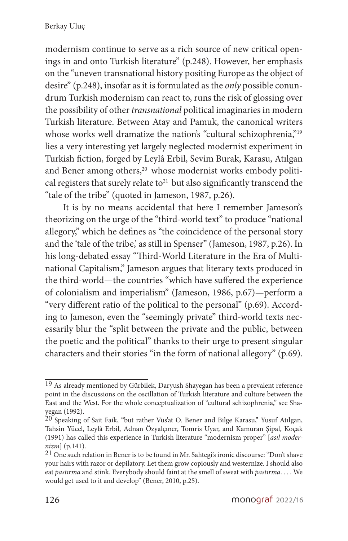modernism continue to serve as a rich source of new critical openings in and onto Turkish literature" (p.248). However, her emphasis on the "uneven transnational history positing Europe as the object of desire" (p.248), insofar as it is formulated as the *only* possible conundrum Turkish modernism can react to, runs the risk of glossing over the possibility of other *transnational* political imaginaries in modern Turkish literature. Between Atay and Pamuk, the canonical writers whose works well dramatize the nation's "cultural schizophrenia,"<sup>19</sup> lies a very interesting yet largely neglected modernist experiment in Turkish fiction, forged by Leylâ Erbil, Sevim Burak, Karasu, Atılgan and Bener among others,<sup>20</sup> whose modernist works embody political registers that surely relate to $21$  but also significantly transcend the "tale of the tribe" (quoted in Jameson, 1987, p.26).

It is by no means accidental that here I remember Jameson's theorizing on the urge of the "third-world text" to produce "national allegory," which he defines as "the coincidence of the personal story and the 'tale of the tribe,' as still in Spenser" (Jameson, 1987, p.26). In his long-debated essay "Third-World Literature in the Era of Multinational Capitalism," Jameson argues that literary texts produced in the third-world—the countries "which have suffered the experience of colonialism and imperialism" (Jameson, 1986, p.67)—perform a "very different ratio of the political to the personal" (p.69). According to Jameson, even the "seemingly private" third-world texts necessarily blur the "split between the private and the public, between the poetic and the political" thanks to their urge to present singular characters and their stories "in the form of national allegory" (p.69).

<sup>19</sup> As already mentioned by Gürbilek, Daryush Shayegan has been a prevalent reference point in the discussions on the oscillation of Turkish literature and culture between the East and the West. For the whole conceptualization of "cultural schizophrenia," see Shayegan (1992).

<sup>20</sup> Speaking of Sait Faik, "but rather Vüs'at O. Bener and Bilge Karasu," Yusuf Atılgan, Tahsin Yücel, Leylâ Erbil, Adnan Özyalçıner, Tomris Uyar, and Kamuran Şipal, Koçak (1991) has called this experience in Turkish literature "modernism proper" [*asıl modernizm*] (p.141).

<sup>21</sup> One such relation in Bener is to be found in Mr. Sahtegi's ironic discourse: "Don't shave your hairs with razor or depilatory. Let them grow copiously and westernize. I should also eat *pastırma* and stink. Everybody should faint at the smell of sweat with *pastırma*. . . . We would get used to it and develop" (Bener, 2010, p.25).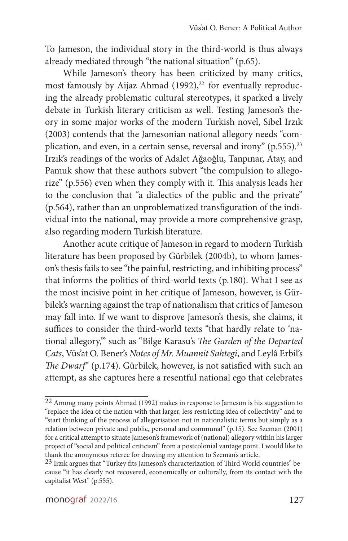To Jameson, the individual story in the third-world is thus always already mediated through "the national situation" (p.65).

While Jameson's theory has been criticized by many critics, most famously by Aijaz Ahmad  $(1992),<sup>22</sup>$  for eventually reproducing the already problematic cultural stereotypes, it sparked a lively debate in Turkish literary criticism as well. Testing Jameson's theory in some major works of the modern Turkish novel, Sibel Irzık (2003) contends that the Jamesonian national allegory needs "complication, and even, in a certain sense, reversal and irony"  $(p.555)$ .<sup>23</sup> Irzık's readings of the works of Adalet Ağaoğlu, Tanpınar, Atay, and Pamuk show that these authors subvert "the compulsion to allegorize" (p.556) even when they comply with it. This analysis leads her to the conclusion that "a dialectics of the public and the private" (p.564), rather than an unproblematized transfiguration of the individual into the national, may provide a more comprehensive grasp, also regarding modern Turkish literature.

Another acute critique of Jameson in regard to modern Turkish literature has been proposed by Gürbilek (2004b), to whom Jameson's thesis fails to see "the painful, restricting, and inhibiting process" that informs the politics of third-world texts (p.180). What I see as the most incisive point in her critique of Jameson, however, is Gürbilek's warning against the trap of nationalism that critics of Jameson may fall into. If we want to disprove Jameson's thesis, she claims, it suffices to consider the third-world texts "that hardly relate to 'national allegory,'" such as "Bilge Karasu's *The Garden of the Departed Cats*, Vüs'at O. Bener's *Notes of Mr. Muannit Sahtegi*, and Leylâ Erbil's *The Dwarf*" (p.174). Gürbilek, however, is not satisfied with such an attempt, as she captures here a resentful national ego that celebrates

<sup>22</sup> Among many points Ahmad (1992) makes in response to Jameson is his suggestion to "replace the idea of the nation with that larger, less restricting idea of collectivity" and to "start thinking of the process of allegorisation not in nationalistic terms but simply as a relation between private and public, personal and communal" (p.15). See Szeman (2001) for a critical attempt to situate Jameson's framework of (national) allegory within his larger project of "social and political criticism" from a postcolonial vantage point. I would like to thank the anonymous referee for drawing my attention to Szeman's article.

<sup>23</sup> Irzık argues that "Turkey fits Jameson's characterization of Third World countries" because "it has clearly not recovered, economically or culturally, from its contact with the capitalist West" (p.555).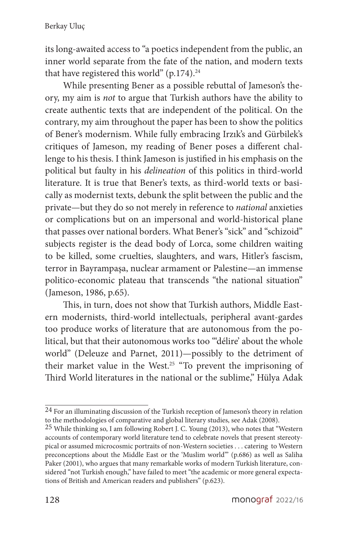its long-awaited access to "a poetics independent from the public, an inner world separate from the fate of the nation, and modern texts that have registered this world" (p.174). $24$ 

While presenting Bener as a possible rebuttal of Jameson's theory, my aim is *not* to argue that Turkish authors have the ability to create authentic texts that are independent of the political. On the contrary, my aim throughout the paper has been to show the politics of Bener's modernism. While fully embracing Irzık's and Gürbilek's critiques of Jameson, my reading of Bener poses a different challenge to his thesis. I think Jameson is justified in his emphasis on the political but faulty in his *delineation* of this politics in third-world literature. It is true that Bener's texts, as third-world texts or basically as modernist texts, debunk the split between the public and the private—but they do so not merely in reference to *national* anxieties or complications but on an impersonal and world-historical plane that passes over national borders. What Bener's "sick" and "schizoid" subjects register is the dead body of Lorca, some children waiting to be killed, some cruelties, slaughters, and wars, Hitler's fascism, terror in Bayrampaşa, nuclear armament or Palestine—an immense politico-economic plateau that transcends "the national situation" (Jameson, 1986, p.65).

This, in turn, does not show that Turkish authors, Middle Eastern modernists, third-world intellectuals, peripheral avant-gardes too produce works of literature that are autonomous from the political, but that their autonomous works too "'délire' about the whole world" (Deleuze and Parnet, 2011)—possibly to the detriment of their market value in the West.<sup>25</sup> "To prevent the imprisoning of Third World literatures in the national or the sublime," Hülya Adak

<sup>24</sup> For an illuminating discussion of the Turkish reception of Jameson's theory in relation to the methodologies of comparative and global literary studies, see Adak (2008).

<sup>25</sup> While thinking so, I am following Robert J. C. Young (2013), who notes that "Western accounts of contemporary world literature tend to celebrate novels that present stereotypical or assumed microcosmic portraits of non-Western societies . . . catering to Western preconceptions about the Middle East or the 'Muslim world'" (p.686) as well as Saliha Paker (2001), who argues that many remarkable works of modern Turkish literature, considered "not Turkish enough," have failed to meet "the academic or more general expectations of British and American readers and publishers" (p.623).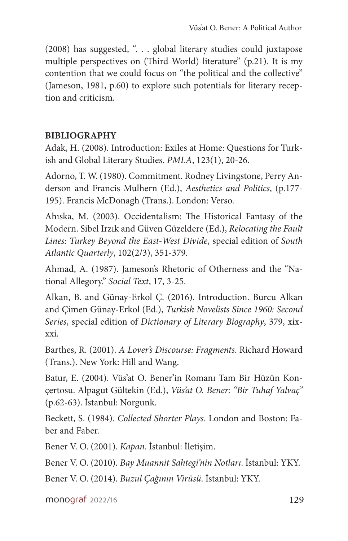(2008) has suggested, ". . . global literary studies could juxtapose multiple perspectives on (Third World) literature" (p.21). It is my contention that we could focus on "the political and the collective" (Jameson, 1981, p.60) to explore such potentials for literary reception and criticism.

#### **BIBLIOGRAPHY**

Adak, H. (2008). Introduction: Exiles at Home: Questions for Turkish and Global Literary Studies. *PMLA*, 123(1), 20-26.

Adorno, T. W. (1980). Commitment. Rodney Livingstone, Perry Anderson and Francis Mulhern (Ed.), *Aesthetics and Politics*, (p.177- 195). Francis McDonagh (Trans.). London: Verso.

Ahıska, M. (2003). Occidentalism: The Historical Fantasy of the Modern. Sibel Irzık and Güven Güzeldere (Ed.), *Relocating the Fault Lines: Turkey Beyond the East-West Divide*, special edition of *South Atlantic Quarterly*, 102(2/3), 351-379.

Ahmad, A. (1987). Jameson's Rhetoric of Otherness and the "National Allegory." *Social Text*, 17, 3-25.

Alkan, B. and Günay-Erkol Ç. (2016). Introduction. Burcu Alkan and Çimen Günay-Erkol (Ed.), *Turkish Novelists Since 1960: Second Series*, special edition of *Dictionary of Literary Biography*, 379, xixxxi.

Barthes, R. (2001). *A Lover's Discourse: Fragments*. Richard Howard (Trans.). New York: Hill and Wang.

Batur, E. (2004). Vüs'at O. Bener'in Romanı Tam Bir Hüzün Konçertosu. Alpagut Gültekin (Ed.), *Vüs'at O. Bener: "Bir Tuhaf Yalvaç"* (p.62-63). İstanbul: Norgunk.

Beckett, S. (1984). *Collected Shorter Plays*. London and Boston: Faber and Faber.

Bener V. O. (2001). *Kapan*. İstanbul: İletişim.

Bener V. O. (2010). *Bay Muannit Sahtegi'nin Notları*. İstanbul: YKY.

Bener V. O. (2014). *Buzul Çağının Virüsü*. İstanbul: YKY.

monograf 2022/16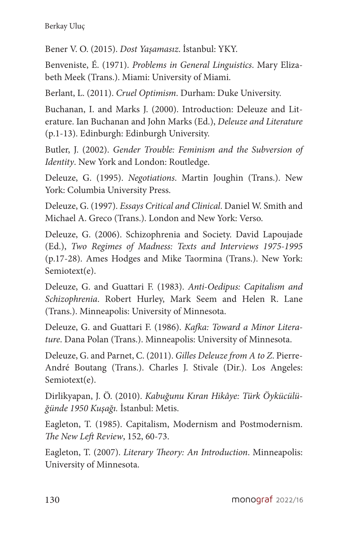Bener V. O. (2015). *Dost Yaşamasız*. İstanbul: YKY.

Benveniste, É. (1971). *Problems in General Linguistics*. Mary Elizabeth Meek (Trans.). Miami: University of Miami.

Berlant, L. (2011). *Cruel Optimism*. Durham: Duke University.

Buchanan, I. and Marks J. (2000). Introduction: Deleuze and Literature. Ian Buchanan and John Marks (Ed.), *Deleuze and Literature* (p.1-13). Edinburgh: Edinburgh University.

Butler, J. (2002). *Gender Trouble: Feminism and the Subversion of Identity*. New York and London: Routledge.

Deleuze, G. (1995). *Negotiations*. Martin Joughin (Trans.). New York: Columbia University Press.

Deleuze, G. (1997). *Essays Critical and Clinical*. Daniel W. Smith and Michael A. Greco (Trans.). London and New York: Verso.

Deleuze, G. (2006). Schizophrenia and Society. David Lapoujade (Ed.), *Two Regimes of Madness: Texts and Interviews 1975-1995* (p.17-28). Ames Hodges and Mike Taormina (Trans.). New York: Semiotext(e).

Deleuze, G. and Guattari F. (1983). *Anti-Oedipus: Capitalism and Schizophrenia*. Robert Hurley, Mark Seem and Helen R. Lane (Trans.). Minneapolis: University of Minnesota.

Deleuze, G. and Guattari F. (1986). *Kafka: Toward a Minor Literature*. Dana Polan (Trans.). Minneapolis: University of Minnesota.

Deleuze, G. and Parnet, C. (2011). *Gilles Deleuze from A to Z*. Pierre-André Boutang (Trans.). Charles J. Stivale (Dir.). Los Angeles: Semiotext(e).

Dirlikyapan, J. Ö. (2010). *Kabuğunu Kıran Hikâye: Türk Öykücülüğünde 1950 Kuşağı.* İstanbul: Metis.

Eagleton, T. (1985). Capitalism, Modernism and Postmodernism. *The New Left Review*, 152, 60-73.

Eagleton, T. (2007). *Literary Theory: An Introduction*. Minneapolis: University of Minnesota.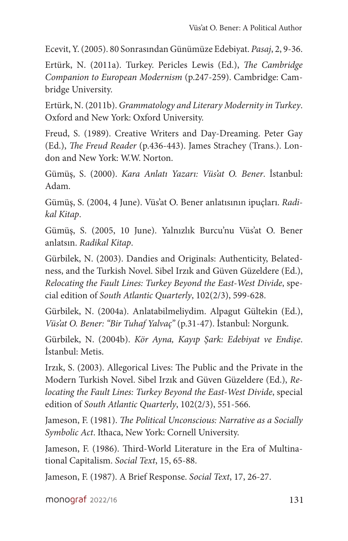Ecevit, Y. (2005). 80 Sonrasından Günümüze Edebiyat. *Pasaj*, 2, 9-36.

Ertürk, N. (2011a). Turkey. Pericles Lewis (Ed.), *The Cambridge Companion to European Modernism* (p.247-259). Cambridge: Cambridge University.

Ertürk, N. (2011b). *Grammatology and Literary Modernity in Turkey*. Oxford and New York: Oxford University.

Freud, S. (1989). Creative Writers and Day-Dreaming. Peter Gay (Ed.), *The Freud Reader* (p.436-443). James Strachey (Trans.). London and New York: W.W. Norton.

Gümüş, S. (2000). *Kara Anlatı Yazarı: Vüs'at O. Bener*. İstanbul: Adam.

Gümüş, S. (2004, 4 June). Vüs'at O. Bener anlatısının ipuçları. *Radikal Kitap*.

Gümüş, S. (2005, 10 June). Yalnızlık Burcu'nu Vüs'at O. Bener anlatsın. *Radikal Kitap*.

Gürbilek, N. (2003). Dandies and Originals: Authenticity, Belatedness, and the Turkish Novel. Sibel Irzık and Güven Güzeldere (Ed.), *Relocating the Fault Lines: Turkey Beyond the East-West Divide*, special edition of *South Atlantic Quarterly*, 102(2/3), 599-628.

Gürbilek, N. (2004a). Anlatabilmeliydim. Alpagut Gültekin (Ed.), *Vüs'at O. Bener: "Bir Tuhaf Yalvaç"* (p.31-47). İstanbul: Norgunk.

Gürbilek, N. (2004b). *Kör Ayna, Kayıp Şark: Edebiyat ve Endişe*. İstanbul: Metis.

Irzık, S. (2003). Allegorical Lives: The Public and the Private in the Modern Turkish Novel. Sibel Irzık and Güven Güzeldere (Ed.), *Relocating the Fault Lines: Turkey Beyond the East-West Divide*, special edition of *South Atlantic Quarterly*, 102(2/3), 551-566.

Jameson, F. (1981). *The Political Unconscious: Narrative as a Socially Symbolic Act*. Ithaca, New York: Cornell University.

Jameson, F. (1986). Third-World Literature in the Era of Multinational Capitalism. *Social Text*, 15, 65-88.

Jameson, F. (1987). A Brief Response. *Social Text*, 17, 26-27.

monograf 2022/16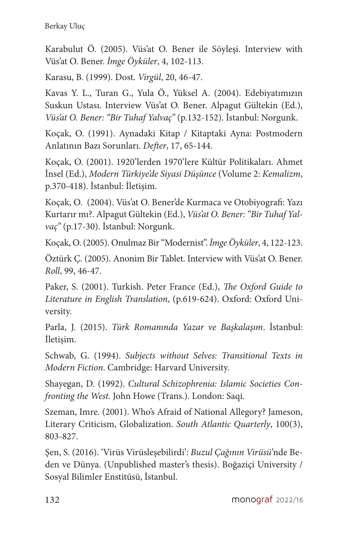Karabulut Ö. (2005). Vüs'at O. Bener ile Söyleşi. Interview with Vüs'at O. Bener. *İmge Öyküler*, 4, 102-113.

Karasu, B. (1999). Dost. *Virgül*, 20, 46-47.

Kavas Y. L., Turan G., Yula Ö., Yüksel A. (2004). Edebiyatımızın Suskun Ustası. Interview Vüs'at O. Bener. Alpagut Gültekin (Ed.), *Vüs'at O. Bener: "Bir Tuhaf Yalvaç"* (p.132-152). İstanbul: Norgunk.

Koçak, O. (1991). Aynadaki Kitap / Kitaptaki Ayna: Postmodern Anlatının Bazı Sorunları. *Defter*, 17, 65-144.

Koçak, O. (2001). 1920'lerden 1970'lere Kültür Politikaları. Ahmet İnsel (Ed.), *Modern Türkiye'de Siyasi Düşünce* (Volume 2: *Kemalizm*, p.370-418). İstanbul: İletişim.

Koçak, O. (2004). Vüs'at O. Bener'de Kurmaca ve Otobiyografi: Yazı Kurtarır mı?. Alpagut Gültekin (Ed.), *Vüs'at O. Bener: "Bir Tuhaf Yalvaç"* (p.17-30). İstanbul: Norgunk.

Koçak, O. (2005). Onulmaz Bir "Modernist". *İmge Öyküler*, 4, 122-123.

Öztürk Ç. (2005). Anonim Bir Tablet. Interview with Vüs'at O. Bener. *Roll*, 99, 46-47.

Paker, S. (2001). Turkish. Peter France (Ed.), *The Oxford Guide to Literature in English Translation*, (p.619-624). Oxford: Oxford University.

Parla, J. (2015). *Türk Romanında Yazar ve Başkalaşım*. İstanbul: İletişim.

Schwab, G. (1994). *Subjects without Selves: Transitional Texts in Modern Fiction*. Cambridge: Harvard University.

Shayegan, D. (1992). *Cultural Schizophrenia: Islamic Societies Confronting the West*. John Howe (Trans.). London: Saqi.

Szeman, Imre. (2001). Who's Afraid of National Allegory? Jameson, Literary Criticism, Globalization. *South Atlantic Quarterly*, 100(3), 803-827.

Şen, S. (2016). 'Virüs Virüsleşebilirdi': *Buzul Çağının Virüsü*'nde Beden ve Dünya. (Unpublished master's thesis). Boğaziçi University / Sosyal Bilimler Enstitüsü, İstanbul.